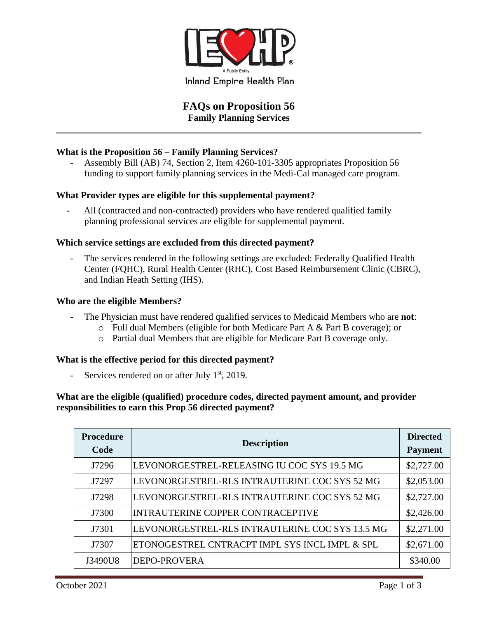

# **FAQs on Proposition 56 Family Planning Services**

# **What is the Proposition 56 – Family Planning Services?**

- Assembly Bill (AB) 74, Section 2, Item 4260-101-3305 appropriates Proposition 56 funding to support family planning services in the Medi-Cal managed care program.

# **What Provider types are eligible for this supplemental payment?**

All (contracted and non-contracted) providers who have rendered qualified family planning professional services are eligible for supplemental payment.

# **Which service settings are excluded from this directed payment?**

The services rendered in the following settings are excluded: Federally Qualified Health Center (FQHC), Rural Health Center (RHC), Cost Based Reimbursement Clinic (CBRC), and Indian Heath Setting (IHS).

#### **Who are the eligible Members?**

- The Physician must have rendered qualified services to Medicaid Members who are **not**:
	- o Full dual Members (eligible for both Medicare Part A & Part B coverage); or
	- o Partial dual Members that are eligible for Medicare Part B coverage only.

#### **What is the effective period for this directed payment?**

- Services rendered on or after July  $1<sup>st</sup>$ , 2019.

# **What are the eligible (qualified) procedure codes, directed payment amount, and provider responsibilities to earn this Prop 56 directed payment?**

| <b>Procedure</b><br>Code | <b>Description</b>                              | <b>Directed</b><br><b>Payment</b> |
|--------------------------|-------------------------------------------------|-----------------------------------|
| J7296                    | LEVONORGESTREL-RELEASING IU COC SYS 19.5 MG     | \$2,727.00                        |
| J7297                    | LEVONORGESTREL-RLS INTRAUTERINE COC SYS 52 MG   | \$2,053.00                        |
| J7298                    | LEVONORGESTREL-RLS INTRAUTERINE COC SYS 52 MG   | \$2,727.00                        |
| J7300                    | INTRAUTERINE COPPER CONTRACEPTIVE               | \$2,426.00                        |
| J7301                    | LEVONORGESTREL-RLS INTRAUTERINE COC SYS 13.5 MG | \$2,271.00                        |
| J7307                    | ETONOGESTREL CNTRACPT IMPL SYS INCL IMPL & SPL  | \$2,671.00                        |
| J3490U8                  | <b>DEPO-PROVERA</b>                             | \$340.00                          |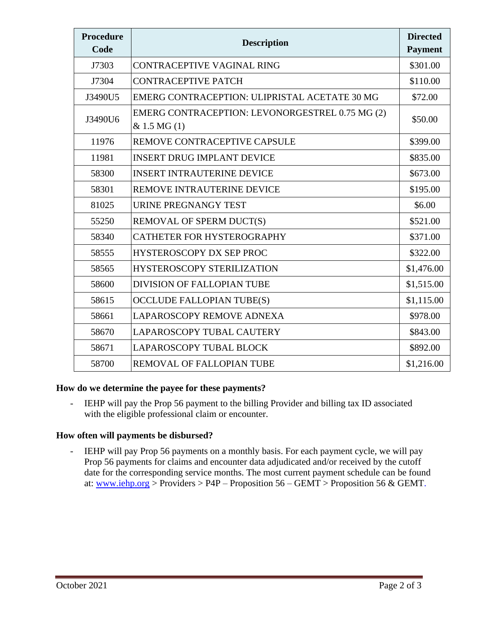| <b>Procedure</b><br>Code | <b>Description</b>                                             | <b>Directed</b><br><b>Payment</b> |
|--------------------------|----------------------------------------------------------------|-----------------------------------|
| J7303                    | CONTRACEPTIVE VAGINAL RING                                     | \$301.00                          |
| J7304                    | <b>CONTRACEPTIVE PATCH</b>                                     | \$110.00                          |
| J3490U5                  | EMERG CONTRACEPTION: ULIPRISTAL ACETATE 30 MG                  | \$72.00                           |
| J3490U6                  | EMERG CONTRACEPTION: LEVONORGESTREL 0.75 MG (2)<br>& 1.5 MG(1) | \$50.00                           |
| 11976                    | REMOVE CONTRACEPTIVE CAPSULE                                   | \$399.00                          |
| 11981                    | <b>INSERT DRUG IMPLANT DEVICE</b>                              | \$835.00                          |
| 58300                    | <b>INSERT INTRAUTERINE DEVICE</b>                              | \$673.00                          |
| 58301                    | REMOVE INTRAUTERINE DEVICE                                     | \$195.00                          |
| 81025                    | URINE PREGNANGY TEST                                           | \$6.00                            |
| 55250                    | REMOVAL OF SPERM DUCT(S)                                       | \$521.00                          |
| 58340                    | <b>CATHETER FOR HYSTEROGRAPHY</b>                              | \$371.00                          |
| 58555                    | HYSTEROSCOPY DX SEP PROC                                       | \$322.00                          |
| 58565                    | <b>HYSTEROSCOPY STERILIZATION</b>                              | \$1,476.00                        |
| 58600                    | <b>DIVISION OF FALLOPIAN TUBE</b>                              | \$1,515.00                        |
| 58615                    | <b>OCCLUDE FALLOPIAN TUBE(S)</b>                               | \$1,115.00                        |
| 58661                    | LAPAROSCOPY REMOVE ADNEXA                                      | \$978.00                          |
| 58670                    | LAPAROSCOPY TUBAL CAUTERY                                      | \$843.00                          |
| 58671                    | <b>LAPAROSCOPY TUBAL BLOCK</b>                                 | \$892.00                          |
| 58700                    | REMOVAL OF FALLOPIAN TUBE                                      | \$1,216.00                        |

#### **How do we determine the payee for these payments?**

- IEHP will pay the Prop 56 payment to the billing Provider and billing tax ID associated with the eligible professional claim or encounter.

# **How often will payments be disbursed?**

- IEHP will pay Prop 56 payments on a monthly basis. For each payment cycle, we will pay Prop 56 payments for claims and encounter data adjudicated and/or received by the cutoff date for the corresponding service months. The most current payment schedule can be found at: [www.iehp.org](http://www.iehp.org/) > Providers > P4P – Proposition  $56 - \text{GEMT}$  > Proposition  $56 \& \text{GEMT}$ .